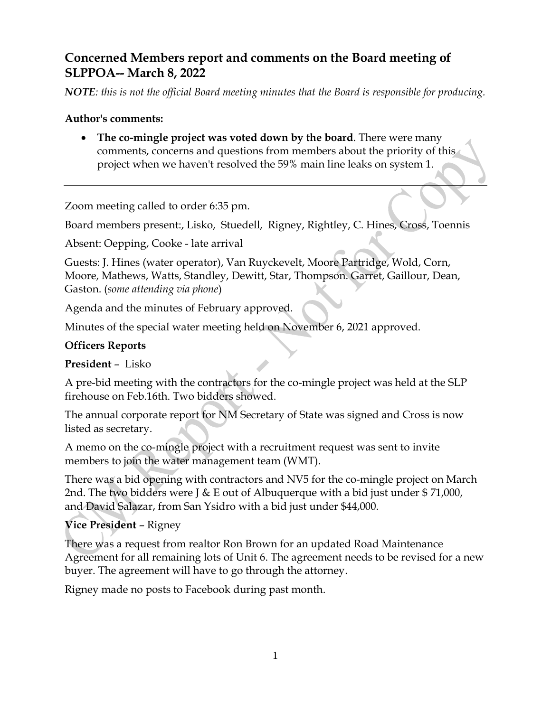# **Concerned Members report and comments on the Board meeting of SLPPOA-- March 8, 2022**

*NOTE: this is not the official Board meeting minutes that the Board is responsible for producing.*

#### **Author's comments:**

 **The co-mingle project was voted down by the board**. There were many comments, concerns and questions from members about the priority of this project when we haven't resolved the 59% main line leaks on system 1.

Zoom meeting called to order 6:35 pm.

Board members present:, Lisko, Stuedell, Rigney, Rightley, C. Hines, Cross, Toennis

Absent: Oepping, Cooke - late arrival

Guests: J. Hines (water operator), Van Ruyckevelt, Moore Partridge, Wold, Corn, Moore, Mathews, Watts, Standley, Dewitt, Star, Thompson. Garret, Gaillour, Dean, Gaston. (*some attending via phone*)

Agenda and the minutes of February approved.

Minutes of the special water meeting held on November 6, 2021 approved.

## **Officers Reports**

**President** – Lisko

A pre-bid meeting with the contractors for the co-mingle project was held at the SLP firehouse on Feb.16th. Two bidders showed.

The annual corporate report for NM Secretary of State was signed and Cross is now listed as secretary.

A memo on the co-mingle project with a recruitment request was sent to invite members to join the water management team (WMT).

There was a bid opening with contractors and NV5 for the co-mingle project on March 2nd. The two bidders were J & E out of Albuquerque with a bid just under  $$71,000$ , and David Salazar, from San Ysidro with a bid just under \$44,000.

# **Vice President** – Rigney

There was a request from realtor Ron Brown for an updated Road Maintenance Agreement for all remaining lots of Unit 6. The agreement needs to be revised for a new buyer. The agreement will have to go through the attorney.

Rigney made no posts to Facebook during past month.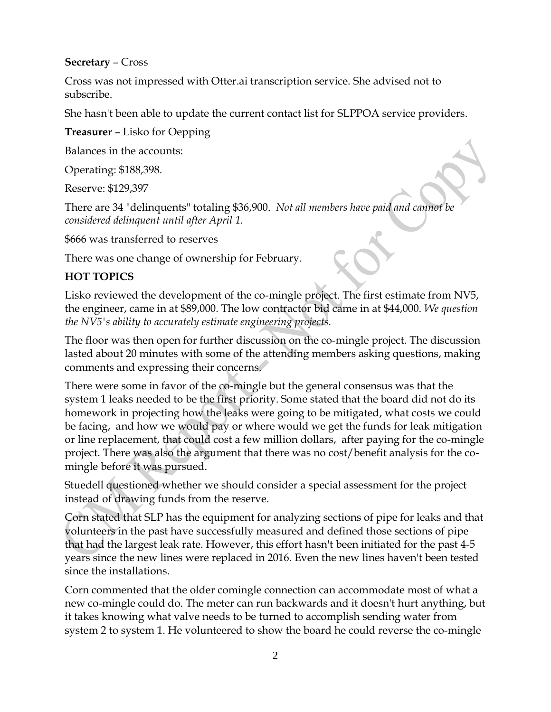#### **Secretary** – Cross

Cross was not impressed with Otter.ai transcription service. She advised not to subscribe.

She hasn't been able to update the current contact list for SLPPOA service providers.

**Treasurer** – Lisko for Oepping

Balances in the accounts:

Operating: \$188,398.

Reserve: \$129,397

There are 34 "delinquents" totaling \$36,900. *Not all members have paid and cannot be considered delinquent until after April 1.*

\$666 was transferred to reserves

There was one change of ownership for February.

## **HOT TOPICS**

Lisko reviewed the development of the co-mingle project. The first estimate from NV5, the engineer, came in at \$89,000. The low contractor bid came in at \$44,000. *We question the NV5's ability to accurately estimate engineering projects.* 

The floor was then open for further discussion on the co-mingle project. The discussion lasted about 20 minutes with some of the attending members asking questions, making comments and expressing their concerns.

There were some in favor of the co-mingle but the general consensus was that the system 1 leaks needed to be the first priority. Some stated that the board did not do its homework in projecting how the leaks were going to be mitigated, what costs we could be facing, and how we would pay or where would we get the funds for leak mitigation or line replacement, that could cost a few million dollars, after paying for the co-mingle project. There was also the argument that there was no cost/benefit analysis for the comingle before it was pursued.

Stuedell questioned whether we should consider a special assessment for the project instead of drawing funds from the reserve.

Corn stated that SLP has the equipment for analyzing sections of pipe for leaks and that volunteers in the past have successfully measured and defined those sections of pipe that had the largest leak rate. However, this effort hasn't been initiated for the past 4-5 years since the new lines were replaced in 2016. Even the new lines haven't been tested since the installations.

Corn commented that the older comingle connection can accommodate most of what a new co-mingle could do. The meter can run backwards and it doesn't hurt anything, but it takes knowing what valve needs to be turned to accomplish sending water from system 2 to system 1. He volunteered to show the board he could reverse the co-mingle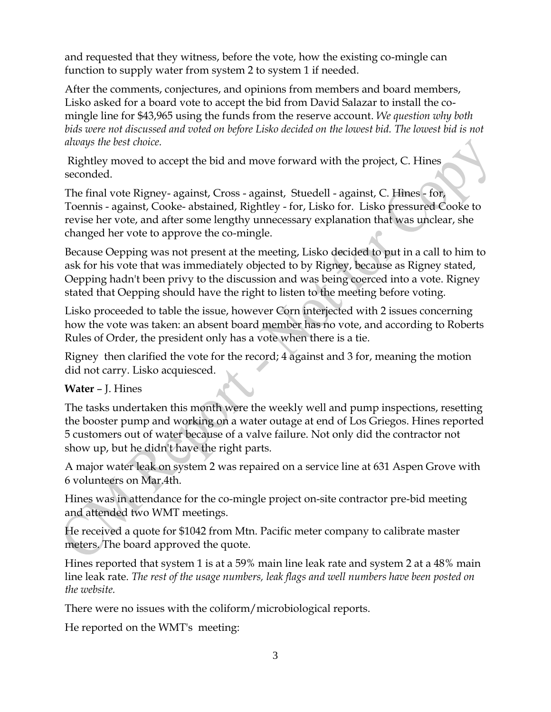and requested that they witness, before the vote, how the existing co-mingle can function to supply water from system 2 to system 1 if needed.

After the comments, conjectures, and opinions from members and board members, Lisko asked for a board vote to accept the bid from David Salazar to install the comingle line for \$43,965 using the funds from the reserve account. *We question why both bids were not discussed and voted on before Lisko decided on the lowest bid. The lowest bid is not always the best choice.*

Rightley moved to accept the bid and move forward with the project, C. Hines seconded.

The final vote Rigney- against, Cross - against, Stuedell - against, C. Hines - for, Toennis - against, Cooke- abstained, Rightley - for, Lisko for. Lisko pressured Cooke to revise her vote, and after some lengthy unnecessary explanation that was unclear, she changed her vote to approve the co-mingle.

Because Oepping was not present at the meeting, Lisko decided to put in a call to him to ask for his vote that was immediately objected to by Rigney, because as Rigney stated, Oepping hadn't been privy to the discussion and was being coerced into a vote. Rigney stated that Oepping should have the right to listen to the meeting before voting.

Lisko proceeded to table the issue, however Corn interjected with 2 issues concerning how the vote was taken: an absent board member has no vote, and according to Roberts Rules of Order, the president only has a vote when there is a tie.

Rigney then clarified the vote for the record; 4 against and 3 for, meaning the motion did not carry. Lisko acquiesced.

### **Water** – J. Hines

The tasks undertaken this month were the weekly well and pump inspections, resetting the booster pump and working on a water outage at end of Los Griegos. Hines reported 5 customers out of water because of a valve failure. Not only did the contractor not show up, but he didn't have the right parts.

A major water leak on system 2 was repaired on a service line at 631 Aspen Grove with 6 volunteers on Mar.4th.

Hines was in attendance for the co-mingle project on-site contractor pre-bid meeting and attended two WMT meetings.

He received a quote for \$1042 from Mtn. Pacific meter company to calibrate master meters. The board approved the quote.

Hines reported that system 1 is at a 59% main line leak rate and system 2 at a 48% main line leak rate. *The rest of the usage numbers, leak flags and well numbers have been posted on the website.*

There were no issues with the coliform/microbiological reports.

He reported on the WMT's meeting: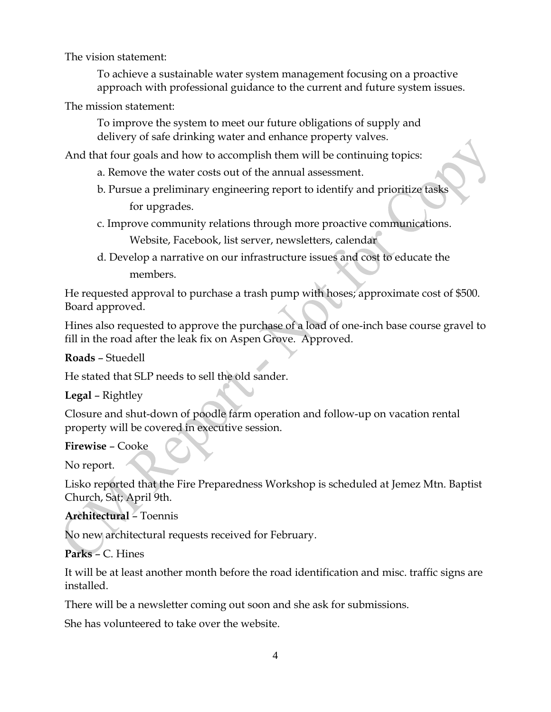The vision statement:

To achieve a sustainable water system management focusing on a proactive approach with professional guidance to the current and future system issues.

The mission statement:

To improve the system to meet our future obligations of supply and delivery of safe drinking water and enhance property valves.

And that four goals and how to accomplish them will be continuing topics:

- a. Remove the water costs out of the annual assessment.
- b. Pursue a preliminary engineering report to identify and prioritize tasks for upgrades.
- c. Improve community relations through more proactive communications. Website, Facebook, list server, newsletters, calendar
- d. Develop a narrative on our infrastructure issues and cost to educate the members.

He requested approval to purchase a trash pump with hoses; approximate cost of \$500. Board approved.

Hines also requested to approve the purchase of a load of one-inch base course gravel to fill in the road after the leak fix on Aspen Grove. Approved.

**Roads** – Stuedell

He stated that SLP needs to sell the old sander.

**Legal** – Rightley

Closure and shut-down of poodle farm operation and follow-up on vacation rental property will be covered in executive session.

#### **Firewise** – Cooke

No report.

Lisko reported that the Fire Preparedness Workshop is scheduled at Jemez Mtn. Baptist Church, Sat; April 9th.

**Architectural** – Toennis

No new architectural requests received for February.

**Parks** – C. Hines

It will be at least another month before the road identification and misc. traffic signs are installed.

There will be a newsletter coming out soon and she ask for submissions.

She has volunteered to take over the website.